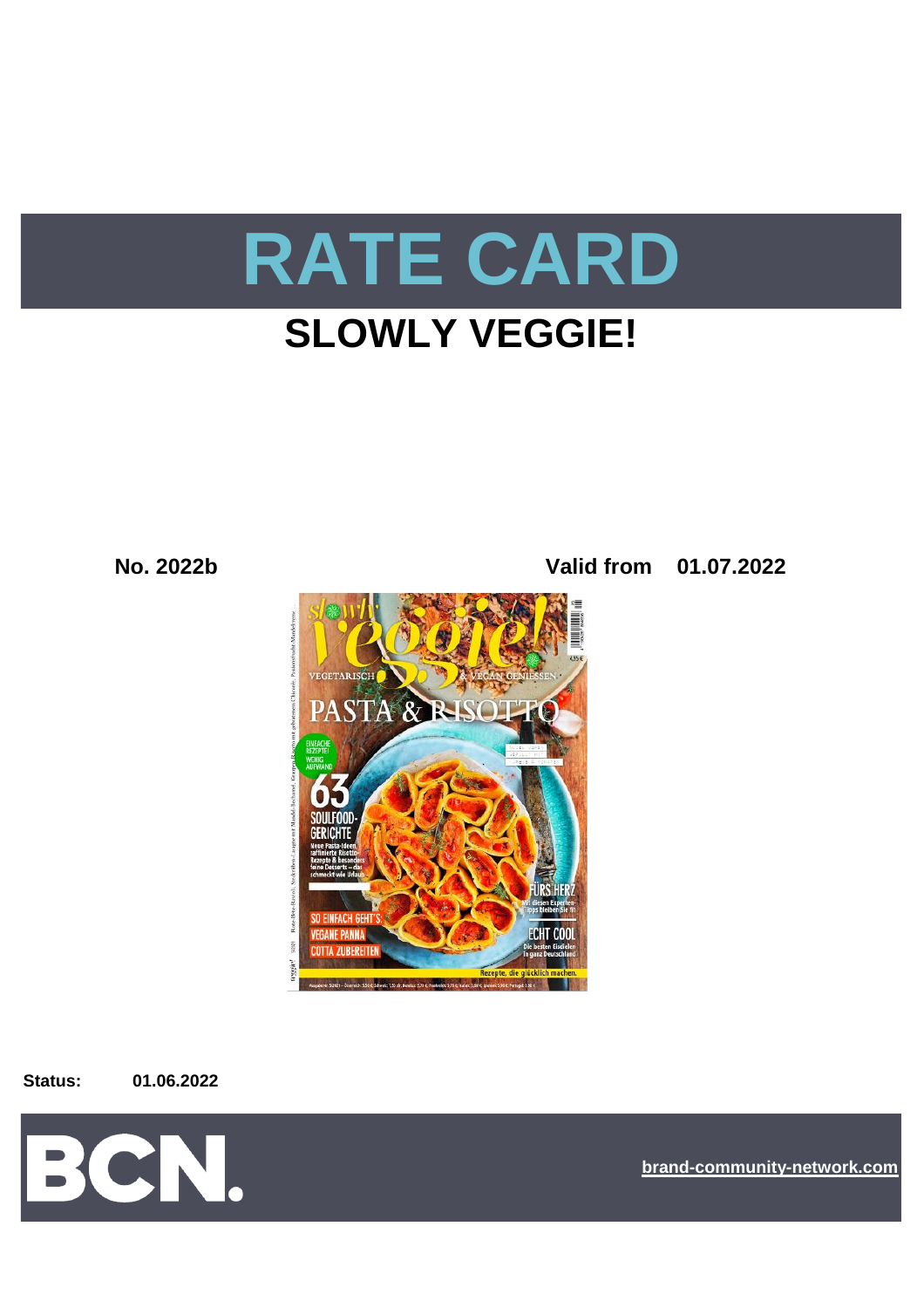

# **SLOWLY VEGGIE!**

**No. 2022b Valid from 01.07.2022**



**Status: 01.06.2022**



**[bra](https://bcn.burda.com/)nd-community-network.com**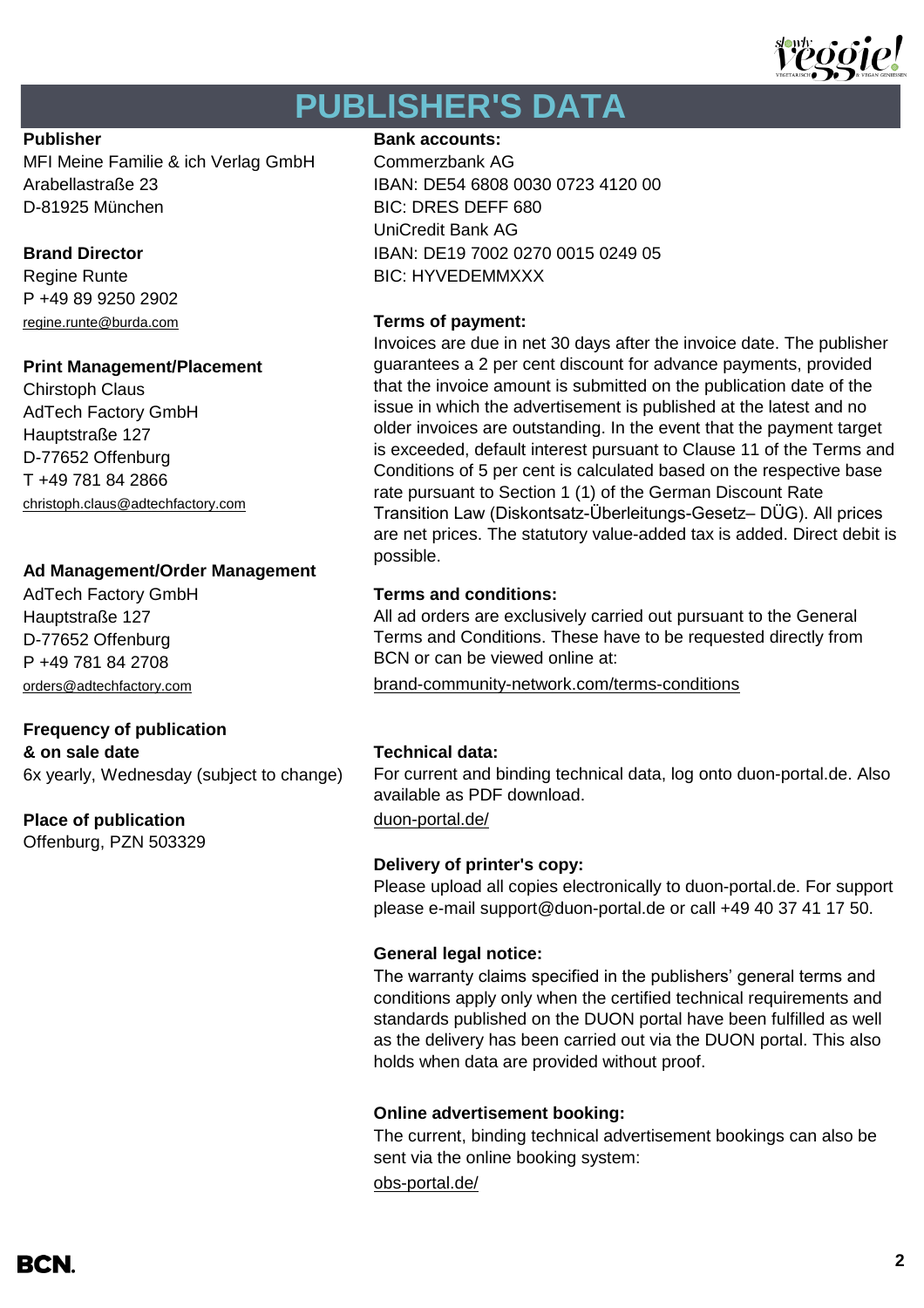

# **PUBLISHER'S DATA**

MFI Meine Familie & ich Verlag GmbH Commerzbank AG Arabellastraße 23 IBAN: DE54 6808 0030 0723 4120 00 D-81925 München BIC: DRES DEFF 680

P +49 89 9250 2902 [regine.runte@burda.com](mailto:regine.runte@burda.com) **Terms of payment:**

# **Print Management/Placement**

Chirstoph Claus AdTech Factory GmbH Hauptstraße 127 D-77652 Offenburg T +49 781 84 2866 [christoph.claus@adtechfactory.com](mailto:christoph.claus@adtechfactory.com)

# **Ad Management/Order Management**

Hauptstraße 127 D-77652 Offenburg P +49 781 84 2708

# **Frequency of publication**

**& on sale date Technical data:** 6x yearly, Wednesday (subject to change)

# **Place of publication** [duon-portal.de/](https://duon-portal.de/)

Offenburg, PZN 503329

# **Publisher Bank accounts: Bank accounts:**

UniCredit Bank AG **Brand Director IBAN: DE19 7002 0270 0015 0249 05** Regine Runte **BIC: HYVEDEMMXXX** 

Invoices are due in net 30 days after the invoice date. The publisher guarantees a 2 per cent discount for advance payments, provided that the invoice amount is submitted on the publication date of the issue in which the advertisement is published at the latest and no older invoices are outstanding. In the event that the payment target is exceeded, default interest pursuant to Clause 11 of the Terms and Conditions of 5 per cent is calculated based on the respective base rate pursuant to Section 1 (1) of the German Discount Rate Transition Law (Diskontsatz-Überleitungs-Gesetz– DÜG). All prices are net prices. The statutory value-added tax is added. Direct debit is possible.

# AdTech Factory GmbH **Terms and conditions:**

All ad orders are exclusively carried out pursuant to the General Terms and Conditions. These have to be requested directly from BCN or can be viewed online at:

[orders@adtechfactory.com](mailto:orders@adtechfactory.com) [brand-community-network.com/terms-conditions](https://bcn.burda.com/terms-conditions)

For current and binding technical data, log onto duon-portal.de. Also available as PDF download.

# **Delivery of printer's copy:**

Please upload all copies electronically to duon-portal.de. For support please e-mail support@duon-portal.de or call +49 40 37 41 17 50.

# **General legal notice:**

The warranty claims specified in the publishers' general terms and conditions apply only when the certified technical requirements and standards published on the DUON portal have been fulfilled as well as the delivery has been carried out via the DUON portal. This also holds when data are provided without proof.

## **Online advertisement booking:**

The current, binding technical advertisement bookings can also be sent via the online booking system:

[obs-portal.de/](https://www.obs-portal.de/)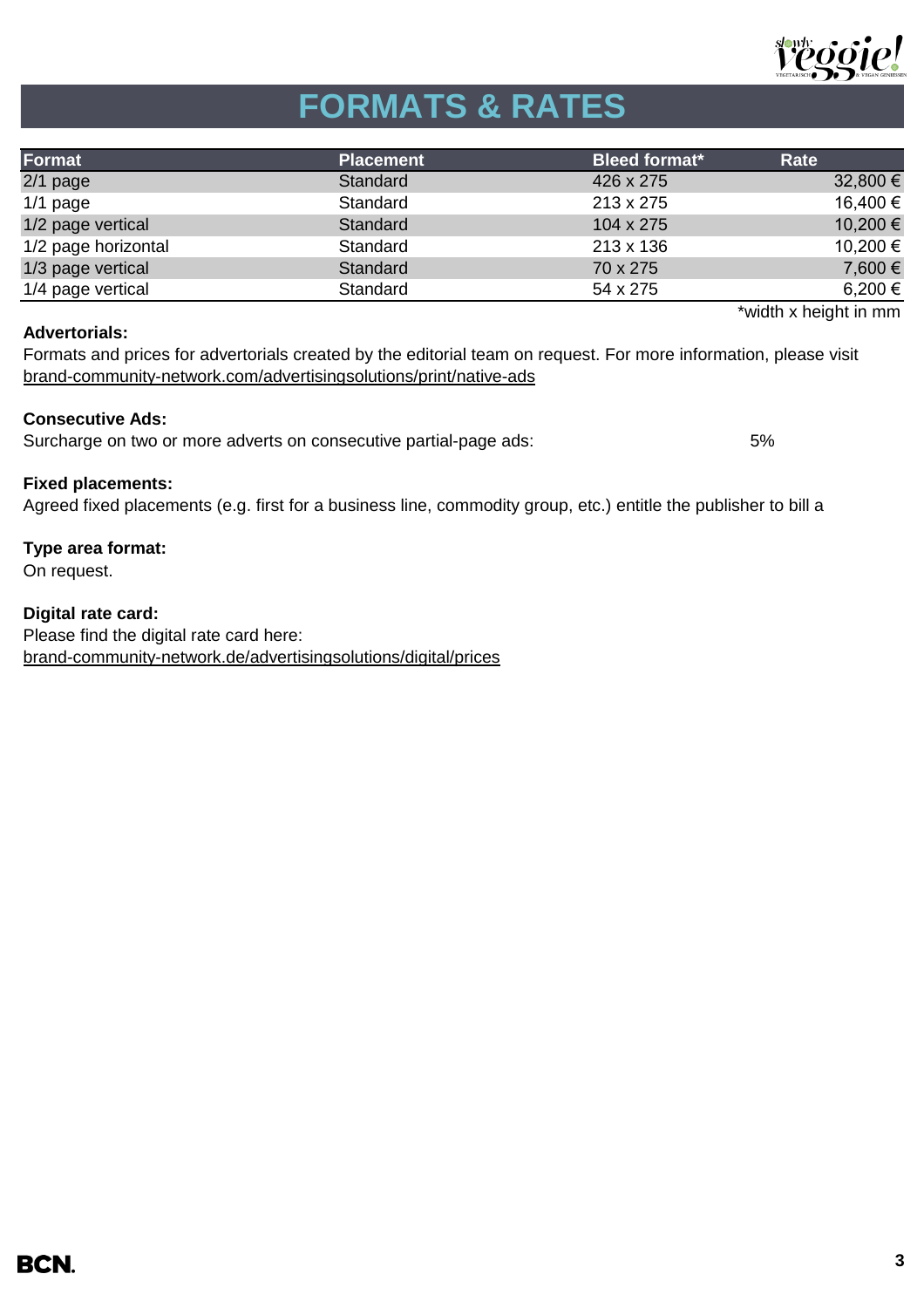

# **FORMATS & RATES**

| Format              | <b>Placement</b> | Bleed format* | Rate     |
|---------------------|------------------|---------------|----------|
| $2/1$ page          | Standard         | 426 x 275     | 32,800 € |
| $1/1$ page          | Standard         | 213 x 275     | 16,400 € |
| 1/2 page vertical   | Standard         | 104 x 275     | 10,200 € |
| 1/2 page horizontal | Standard         | 213 x 136     | 10,200 € |
| 1/3 page vertical   | Standard         | 70 x 275      | 7,600 €  |
| 1/4 page vertical   | Standard         | 54 x 275      | 6,200 €  |

## **Advertorials:**

\*width x height in mm

[brand-community-network.com/advertisin](https://bcn.burda.com/advertisingsolutions/print/native-ads)gsolutions/print/native-ads Formats and prices for advertorials created by the editorial team on request. For more information, please visit

# **Consecutive Ads:**

Surcharge on two or more adverts on consecutive partial-page ads: 5%

# **Fixed placements:**

Agreed fixed placements (e.g. first for a business line, commodity group, etc.) entitle the publisher to bill a

# **Type area format:**

On request.

**Digital rate card:** Please find the digital rate card here: [brand-community-network.de/advertisingsolutions/digital/prices](https://bcn.burda.com/advertisingsolutions/digital/prices)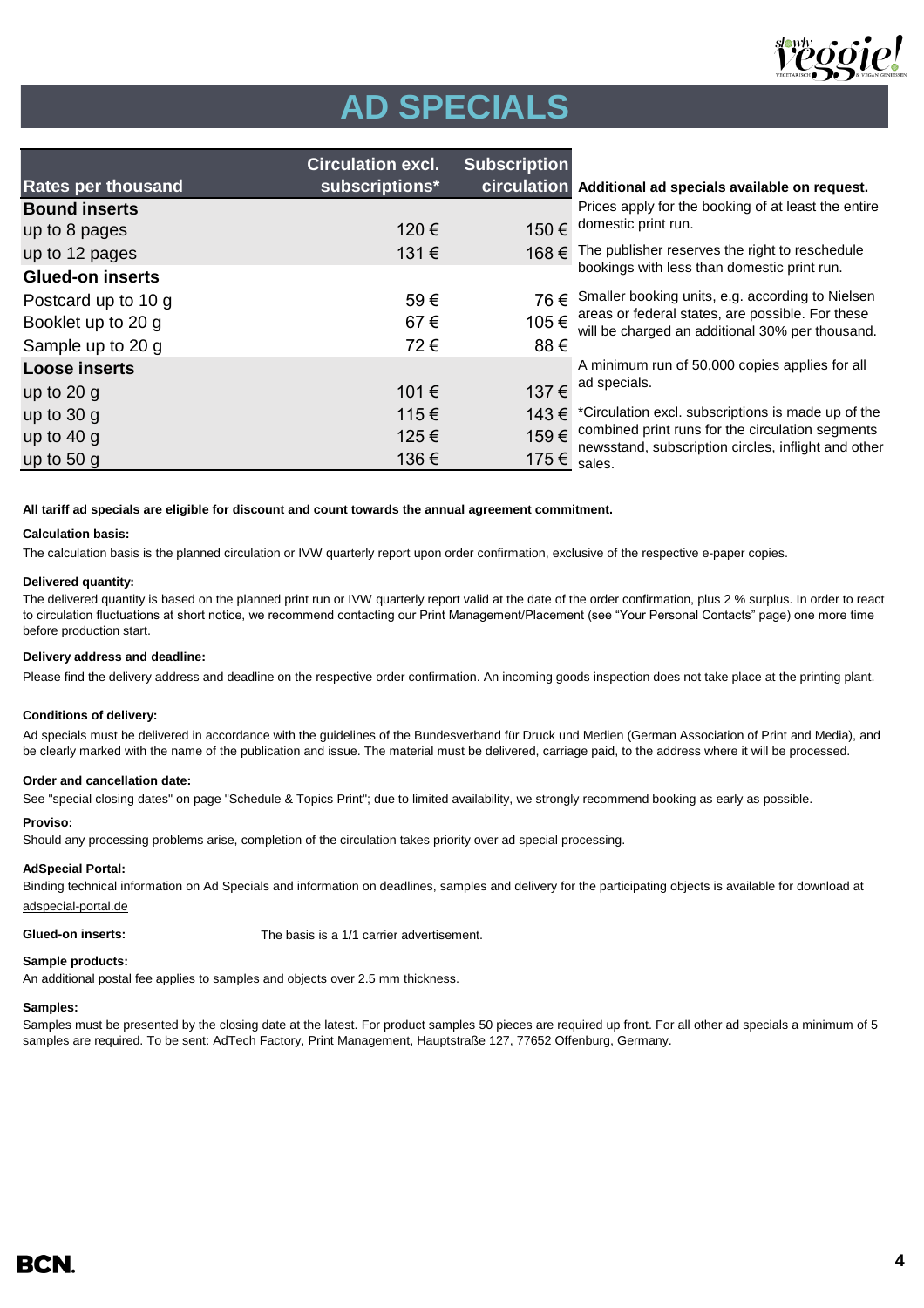

# **AD SPECIALS**

|                           | <b>Circulation excl.</b> | <b>Subscription</b> |                                                |
|---------------------------|--------------------------|---------------------|------------------------------------------------|
| <b>Rates per thousand</b> | subscriptions*           |                     | <b>circulation</b> Additional ad spec          |
| <b>Bound inserts</b>      |                          |                     | Prices apply for the I                         |
| up to 8 pages             | 120€                     | 150€                | domestic print run.                            |
| up to 12 pages            | 131€                     | 168€                | The publisher reserv                           |
| <b>Glued-on inserts</b>   |                          |                     | bookings with less th                          |
| Postcard up to 10 g       | 59€                      |                     | 76 € Smaller booking unit                      |
| Booklet up to 20 g        | 67€                      | 105€                | areas or federal state<br>will be charged an a |
| Sample up to 20 g         | 72€                      | 88€                 |                                                |
| <b>Loose inserts</b>      |                          |                     | A minimum run of 50                            |
| up to $20 g$              | 101€                     | 137€                | ad specials.                                   |
| up to $30 g$              | 115€                     |                     | 143 € *Circulation excl. sul                   |
| up to $40 g$              | 125€                     | 159€                | combined print runs                            |
| up to $50g$               | 136 €                    | 175€                | newsstand, subscrip<br>sales.                  |

**ials available on request.** 

booking of at least the entire

es the right to reschedule han domestic print run.

ts, e.g. according to Nielsen es, are possible. For these dditional 30% per thousand.

0,000 copies applies for all

bscriptions is made up of the for the circulation segments tion circles, inflight and other

### **All tariff ad specials are eligible for discount and count towards the annual agreement commitment.**

## **Calculation basis:**

The calculation basis is the planned circulation or IVW quarterly report upon order confirmation, exclusive of the respective e-paper copies.

### **Delivered quantity:**

The delivered quantity is based on the planned print run or IVW quarterly report valid at the date of the order confirmation, plus 2 % surplus. In order to react to circulation fluctuations at short notice, we recommend contacting our Print Management/Placement (see "Your Personal Contacts" page) one more time before production start.

### **Delivery address and deadline:**

Please find the delivery address and deadline on the respective order confirmation. An incoming goods inspection does not take place at the printing plant.

### **Conditions of delivery:**

Ad specials must be delivered in accordance with the guidelines of the Bundesverband für Druck und Medien (German Association of Print and Media), and be clearly marked with the name of the publication and issue. The material must be delivered, carriage paid, to the address where it will be processed.

### **Order and cancellation date:**

See "special closing dates" on page "Schedule & Topics Print"; due to limited availability, we strongly recommend booking as early as possible.

### **Proviso:**

Should any processing problems arise, completion of the circulation takes priority over ad special processing.

### **AdSpecial Portal:**

Binding technical information on Ad Specials and information on deadlines, samples and delivery for the participating objects is available for download at adspecial-portal.de

**Glued-on inserts:** The basis is a 1/1 carrier advertisement.

## **Sample products:**

An additional postal fee applies to samples and objects over 2.5 mm thickness.

## **Samples:**

Samples must be presented by the closing date at the latest. For product samples 50 pieces are required up front. For all other ad specials a minimum of 5 samples are required. To be sent: AdTech Factory, Print Management, Hauptstraße 127, 77652 Offenburg, Germany.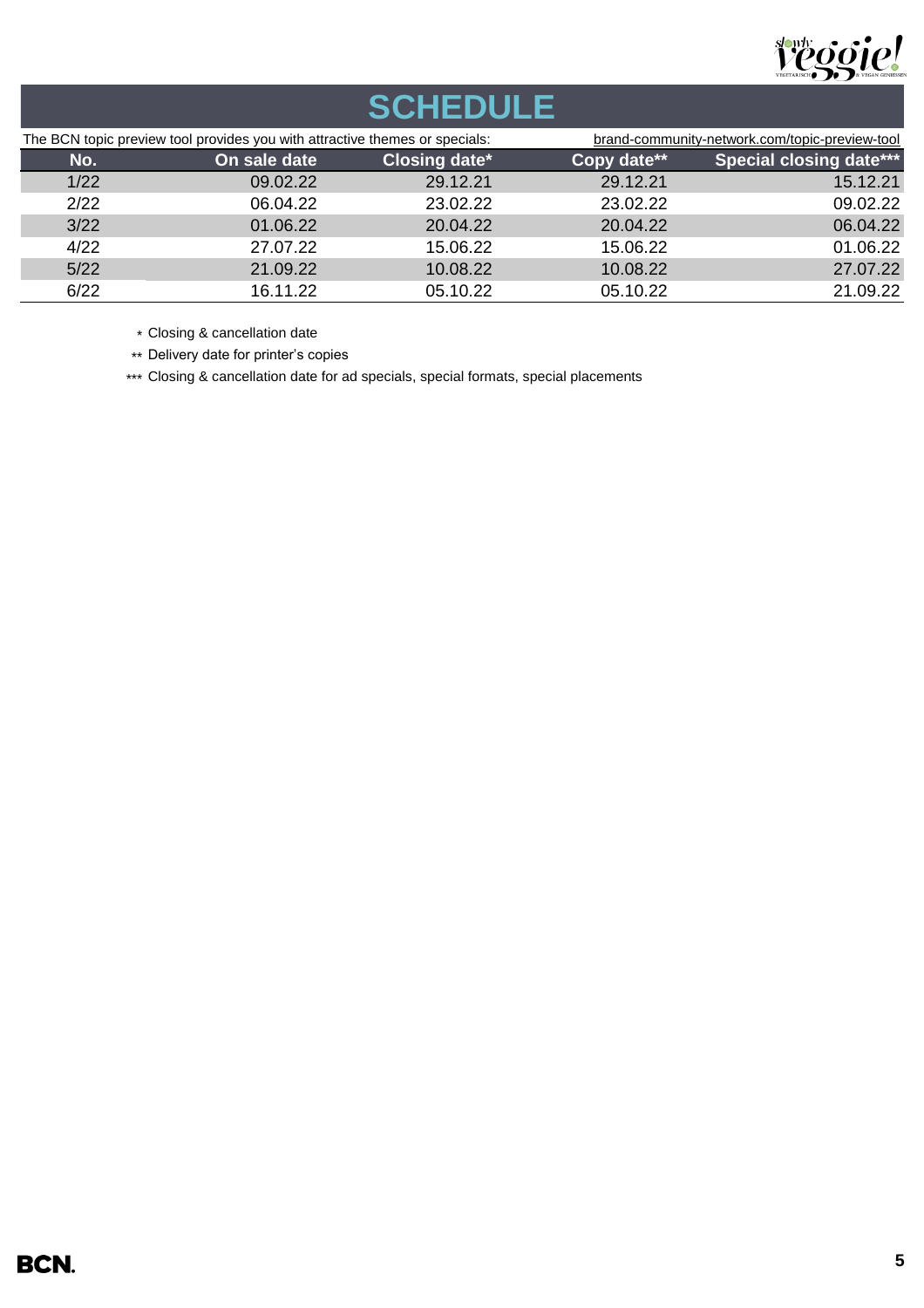

# **SCHEDULE**

| The BCN topic preview tool provides you with attractive themes or specials: |              | brand-community-network.com/topic-preview-tool |             |                                |
|-----------------------------------------------------------------------------|--------------|------------------------------------------------|-------------|--------------------------------|
| No.                                                                         | On sale date | Closing date*                                  | Copy date** | <b>Special closing date***</b> |
| 1/22                                                                        | 09.02.22     | 29.12.21                                       | 29.12.21    | 15.12.21                       |
| 2/22                                                                        | 06.04.22     | 23.02.22                                       | 23.02.22    | 09.02.22                       |
| 3/22                                                                        | 01.06.22     | 20.04.22                                       | 20.04.22    | 06.04.22                       |
| 4/22                                                                        | 27.07.22     | 15.06.22                                       | 15.06.22    | 01.06.22                       |
| 5/22                                                                        | 21.09.22     | 10.08.22                                       | 10.08.22    | 27.07.22                       |
| 6/22                                                                        | 16.11.22     | 05.10.22                                       | 05.10.22    | 21.09.22                       |

\* Closing & cancellation date

\*\* Delivery date for printer's copies

\*\*\* Closing & cancellation date for ad specials, special formats, special placements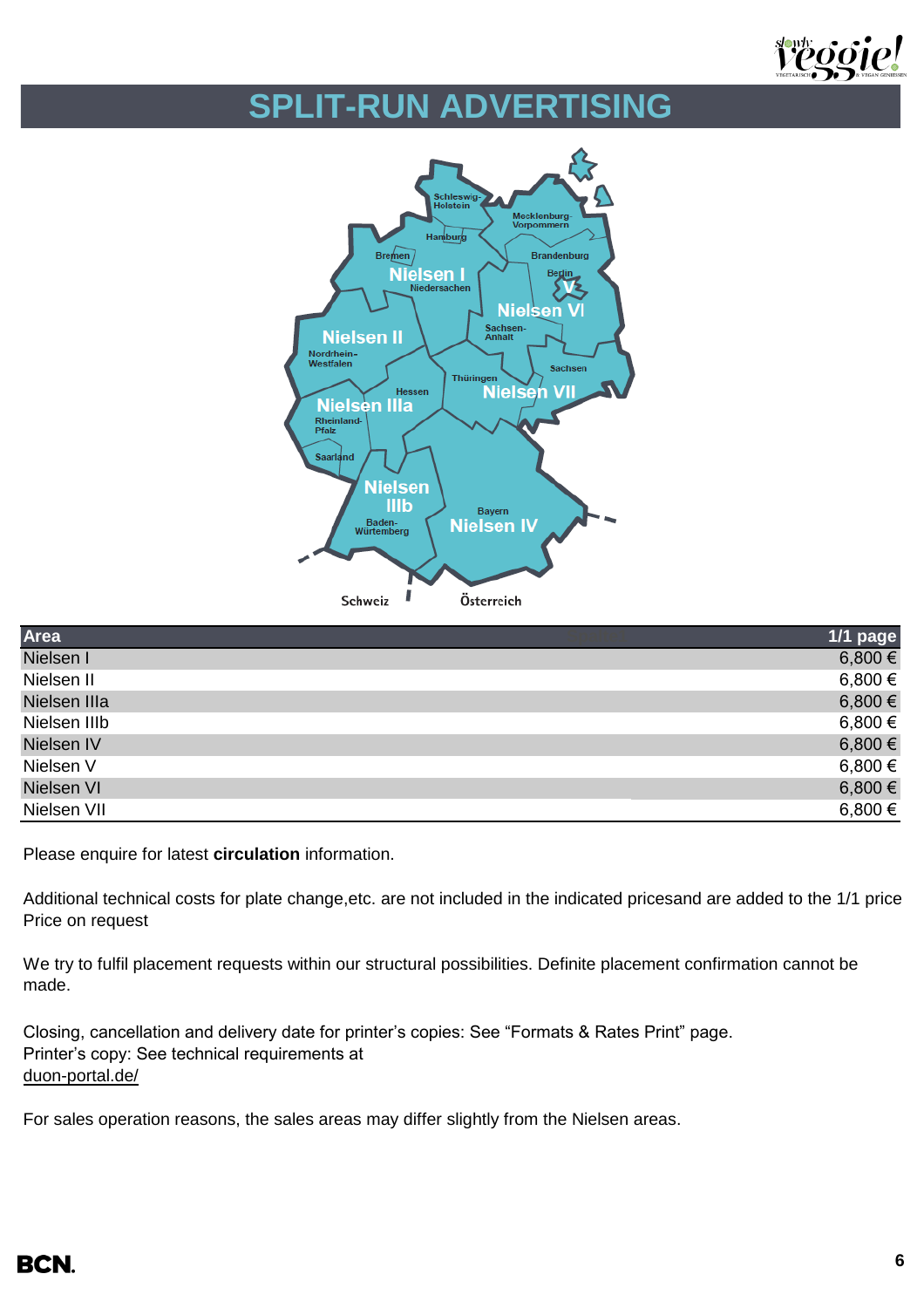

# **SPLIT-RUN ADVERTISING**



| Area         | 1/1 page |  |
|--------------|----------|--|
| Nielsen I    | 6,800 €  |  |
| Nielsen II   | 6,800€   |  |
| Nielsen IIIa | 6,800 €  |  |
| Nielsen IIIb | 6,800 €  |  |
| Nielsen IV   | 6,800 €  |  |
| Nielsen V    | 6,800 €  |  |
| Nielsen VI   | 6,800 €  |  |
| Nielsen VII  | 6,800€   |  |

Please enquire for latest **circulation** information.

Additional technical costs for plate change, etc. are not included in the indicated prices and are added to the 1/1 price. Price on request

We try to fulfil placement requests within our structural possibilities. Definite placement confirmation cannot be made.

Closing, cancellation and delivery date for printer's copies: See "Formats & Rates Print" page. Printer's copy: See technical requirements at [duon-portal.de/](https://duon-portal.de/)

For sales operation reasons, the sales areas may differ slightly from the Nielsen areas.